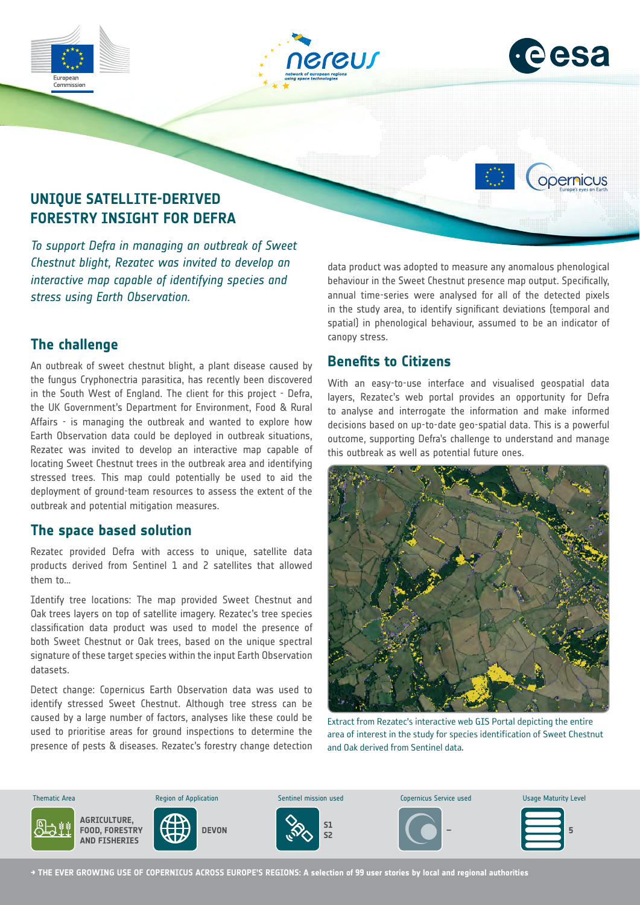

*Chestnut blight, Rezatec was invited to develop an interactive map capable of identifying species and stress using Earth Observation.*

# **The challenge**

An outbreak of sweet chestnut blight, a plant disease caused by the fungus Cryphonectria parasitica, has recently been discovered in the South West of England. The client for this project - Defra, the UK Government's Department for Environment, Food & Rural Affairs - is managing the outbreak and wanted to explore how Earth Observation data could be deployed in outbreak situations, Rezatec was invited to develop an interactive map capable of locating Sweet Chestnut trees in the outbreak area and identifying stressed trees. This map could potentially be used to aid the deployment of ground-team resources to assess the extent of the outbreak and potential mitigation measures.

#### **The space based solution**

Rezatec provided Defra with access to unique, satellite data products derived from Sentinel 1 and 2 satellites that allowed them to…

Identify tree locations: The map provided Sweet Chestnut and Oak trees layers on top of satellite imagery. Rezatec's tree species classification data product was used to model the presence of both Sweet Chestnut or Oak trees, based on the unique spectral signature of these target species within the input Earth Observation datasets.

Detect change: Copernicus Earth Observation data was used to identify stressed Sweet Chestnut. Although tree stress can be caused by a large number of factors, analyses like these could be used to prioritise areas for ground inspections to determine the presence of pests & diseases. Rezatec's forestry change detection

data product was adopted to measure any anomalous phenological behaviour in the Sweet Chestnut presence map output. Specifically, annual time-series were analysed for all of the detected pixels in the study area, to identify significant deviations (temporal and spatial) in phenological behaviour, assumed to be an indicator of canopy stress.

### **Benefits to Citizens**

With an easy-to-use interface and visualised geospatial data layers, Rezatec's web portal provides an opportunity for Defra to analyse and interrogate the information and make informed decisions based on up-to-date geo-spatial data. This is a powerful outcome, supporting Defra's challenge to understand and manage this outbreak as well as potential future ones.



Extract from Rezatec's interactive web GIS Portal depicting the entire area of interest in the study for species identification of Sweet Chestnut and Oak derived from Sentinel data.



**→ THE EVER GROWING USE OF COPERNICUS ACROSS EUROPE'S REGIONS: A selection of 99 user stories by local and regional authorities**